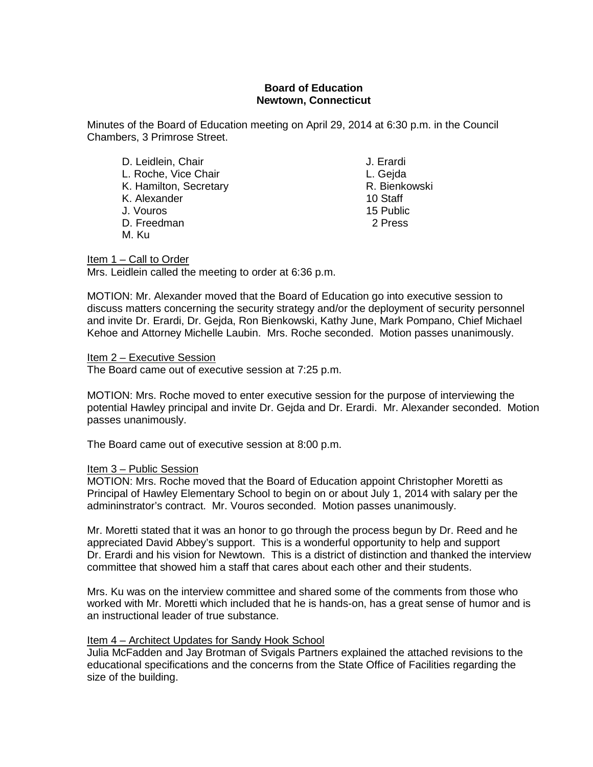# **Board of Education Newtown, Connecticut**

Minutes of the Board of Education meeting on April 29, 2014 at 6:30 p.m. in the Council Chambers, 3 Primrose Street.

D. Leidlein, Chair **J. Erardi (G. 1986)**<br>L. Roche. Vice Chair **J. Erardi (J. 1996)** L. Roche, Vice Chair<br>K. Hamilton. Secretary Channel Channel Channel R. Bienkowski K. Hamilton, Secretary **R. Bienkowski**n, Secretary R. Bienkowskin, R. Bienkowskin, R. Bienkowskin, R. Bienkowski<br>K. Alexander K. Alexander J. Vouros 15 Public D. Freedman 2 Press M. Ku

Item 1 – Call to Order Mrs. Leidlein called the meeting to order at 6:36 p.m.

MOTION: Mr. Alexander moved that the Board of Education go into executive session to discuss matters concerning the security strategy and/or the deployment of security personnel and invite Dr. Erardi, Dr. Gejda, Ron Bienkowski, Kathy June, Mark Pompano, Chief Michael Kehoe and Attorney Michelle Laubin. Mrs. Roche seconded. Motion passes unanimously.

Item 2 – Executive Session

The Board came out of executive session at 7:25 p.m.

MOTION: Mrs. Roche moved to enter executive session for the purpose of interviewing the potential Hawley principal and invite Dr. Gejda and Dr. Erardi. Mr. Alexander seconded. Motion passes unanimously.

The Board came out of executive session at 8:00 p.m.

# Item 3 – Public Session

MOTION: Mrs. Roche moved that the Board of Education appoint Christopher Moretti as Principal of Hawley Elementary School to begin on or about July 1, 2014 with salary per the admininstrator's contract. Mr. Vouros seconded. Motion passes unanimously.

Mr. Moretti stated that it was an honor to go through the process begun by Dr. Reed and he appreciated David Abbey's support. This is a wonderful opportunity to help and support Dr. Erardi and his vision for Newtown. This is a district of distinction and thanked the interview committee that showed him a staff that cares about each other and their students.

Mrs. Ku was on the interview committee and shared some of the comments from those who worked with Mr. Moretti which included that he is hands-on, has a great sense of humor and is an instructional leader of true substance.

# Item 4 – Architect Updates for Sandy Hook School

Julia McFadden and Jay Brotman of Svigals Partners explained the attached revisions to the educational specifications and the concerns from the State Office of Facilities regarding the size of the building.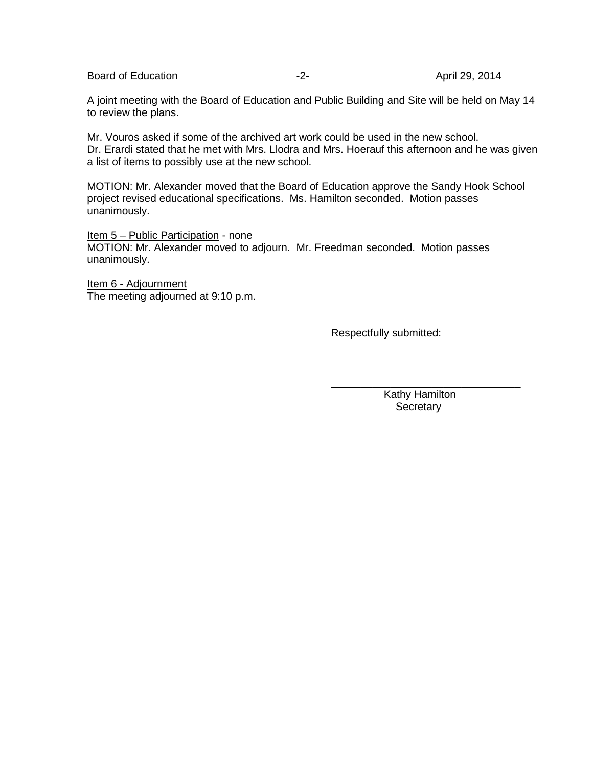Board of Education **-2-** April 29, 2014

A joint meeting with the Board of Education and Public Building and Site will be held on May 14 to review the plans.

Mr. Vouros asked if some of the archived art work could be used in the new school. Dr. Erardi stated that he met with Mrs. Llodra and Mrs. Hoerauf this afternoon and he was given a list of items to possibly use at the new school.

MOTION: Mr. Alexander moved that the Board of Education approve the Sandy Hook School project revised educational specifications. Ms. Hamilton seconded. Motion passes unanimously.

Item 5 – Public Participation - none MOTION: Mr. Alexander moved to adjourn. Mr. Freedman seconded. Motion passes unanimously.

Item 6 - Adjournment The meeting adjourned at 9:10 p.m.

Respectfully submitted:

 Kathy Hamilton **Secretary** 

\_\_\_\_\_\_\_\_\_\_\_\_\_\_\_\_\_\_\_\_\_\_\_\_\_\_\_\_\_\_\_\_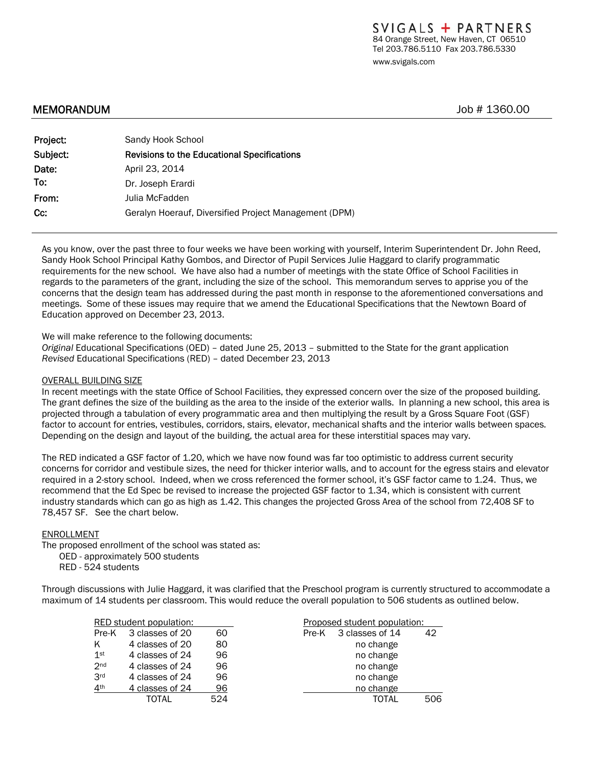### MEMORANDUM Job # 1360.00

| Project: | Sandy Hook School                                     |  |  |  |
|----------|-------------------------------------------------------|--|--|--|
| Subject: | <b>Revisions to the Educational Specifications</b>    |  |  |  |
| Date:    | April 23, 2014                                        |  |  |  |
| To:      | Dr. Joseph Erardi                                     |  |  |  |
| From:    | Julia McFadden                                        |  |  |  |
| Cc:      | Geralyn Hoerauf, Diversified Project Management (DPM) |  |  |  |

As you know, over the past three to four weeks we have been working with yourself, Interim Superintendent Dr. John Reed, Sandy Hook School Principal Kathy Gombos, and Director of Pupil Services Julie Haggard to clarify programmatic requirements for the new school. We have also had a number of meetings with the state Office of School Facilities in regards to the parameters of the grant, including the size of the school. This memorandum serves to apprise you of the concerns that the design team has addressed during the past month in response to the aforementioned conversations and meetings. Some of these issues may require that we amend the Educational Specifications that the Newtown Board of Education approved on December 23, 2013.

We will make reference to the following documents:

*Original* Educational Specifications (OED) – dated June 25, 2013 *–* submitted to the State for the grant application *Revised* Educational Specifications (RED) – dated December 23, 2013

### OVERALL BUILDING SIZE

In recent meetings with the state Office of School Facilities, they expressed concern over the size of the proposed building. The grant defines the size of the building as the area to the inside of the exterior walls. In planning a new school, this area is projected through a tabulation of every programmatic area and then multiplying the result by a Gross Square Foot (GSF) factor to account for entries, vestibules, corridors, stairs, elevator, mechanical shafts and the interior walls between spaces. Depending on the design and layout of the building, the actual area for these interstitial spaces may vary.

The RED indicated a GSF factor of 1.20, which we have now found was far too optimistic to address current security concerns for corridor and vestibule sizes, the need for thicker interior walls, and to account for the egress stairs and elevator required in a 2-story school. Indeed, when we cross referenced the former school, it's GSF factor came to 1.24. Thus, we recommend that the Ed Spec be revised to increase the projected GSF factor to 1.34, which is consistent with current industry standards which can go as high as 1.42. This changes the projected Gross Area of the school from 72,408 SF to 78,457 SF. See the chart below.

#### ENROLLMENT

The proposed enrollment of the school was stated as:

OED - approximately 500 students

RED - 524 students

Through discussions with Julie Haggard, it was clarified that the Preschool program is currently structured to accommodate a maximum of 14 students per classroom. This would reduce the overall population to 506 students as outlined below.

|                 | RED student population: |     | Proposed student population: |     |  |
|-----------------|-------------------------|-----|------------------------------|-----|--|
| Pre-K           | 3 classes of 20         | 60  | 3 classes of 14<br>Pre-K     | 42  |  |
| ĸ               | 4 classes of 20         | 80  | no change                    |     |  |
| $1$ st          | 4 classes of 24         | 96  | no change                    |     |  |
| 2 <sub>nd</sub> | 4 classes of 24         | 96  | no change                    |     |  |
| 3 <sup>rd</sup> | 4 classes of 24         | 96  | no change                    |     |  |
| 4 <sup>th</sup> | 4 classes of 24         | 96  | no change                    |     |  |
|                 | TOTAL                   | 524 | TOTAL                        | 506 |  |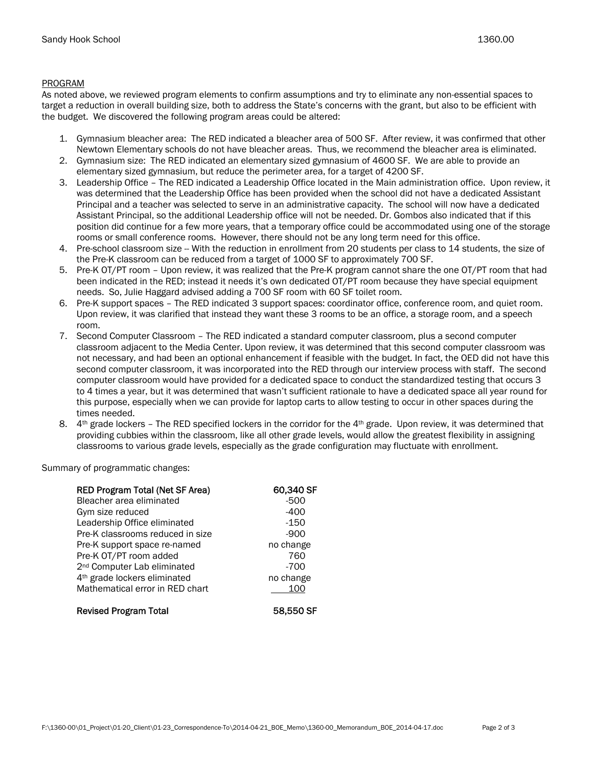### PROGRAM

As noted above, we reviewed program elements to confirm assumptions and try to eliminate any non-essential spaces to target a reduction in overall building size, both to address the State's concerns with the grant, but also to be efficient with the budget. We discovered the following program areas could be altered:

- 1. Gymnasium bleacher area: The RED indicated a bleacher area of 500 SF. After review, it was confirmed that other Newtown Elementary schools do not have bleacher areas. Thus, we recommend the bleacher area is eliminated.
- 2. Gymnasium size: The RED indicated an elementary sized gymnasium of 4600 SF. We are able to provide an elementary sized gymnasium, but reduce the perimeter area, for a target of 4200 SF.
- 3. Leadership Office The RED indicated a Leadership Office located in the Main administration office. Upon review, it was determined that the Leadership Office has been provided when the school did not have a dedicated Assistant Principal and a teacher was selected to serve in an administrative capacity. The school will now have a dedicated Assistant Principal, so the additional Leadership office will not be needed. Dr. Gombos also indicated that if this position did continue for a few more years, that a temporary office could be accommodated using one of the storage rooms or small conference rooms. However, there should not be any long term need for this office.
- 4. Pre-school classroom size -- With the reduction in enrollment from 20 students per class to 14 students, the size of the Pre-K classroom can be reduced from a target of 1000 SF to approximately 700 SF.
- 5. Pre-K OT/PT room Upon review, it was realized that the Pre-K program cannot share the one OT/PT room that had been indicated in the RED; instead it needs it's own dedicated OT/PT room because they have special equipment needs. So, Julie Haggard advised adding a 700 SF room with 60 SF toilet room.
- 6. Pre-K support spaces The RED indicated 3 support spaces: coordinator office, conference room, and quiet room. Upon review, it was clarified that instead they want these 3 rooms to be an office, a storage room, and a speech room.
- 7. Second Computer Classroom The RED indicated a standard computer classroom, plus a second computer classroom adjacent to the Media Center. Upon review, it was determined that this second computer classroom was not necessary, and had been an optional enhancement if feasible with the budget. In fact, the OED did not have this second computer classroom, it was incorporated into the RED through our interview process with staff. The second computer classroom would have provided for a dedicated space to conduct the standardized testing that occurs 3 to 4 times a year, but it was determined that wasn't sufficient rationale to have a dedicated space all year round for this purpose, especially when we can provide for laptop carts to allow testing to occur in other spaces during the times needed.
- 8.  $4<sup>th</sup>$  grade lockers The RED specified lockers in the corridor for the  $4<sup>th</sup>$  grade. Upon review, it was determined that providing cubbies within the classroom, like all other grade levels, would allow the greatest flexibility in assigning classrooms to various grade levels, especially as the grade configuration may fluctuate with enrollment.

Summary of programmatic changes:

| <b>RED Program Total (Net SF Area)</b>   | 60,340 SF |
|------------------------------------------|-----------|
| Bleacher area eliminated                 | $-500$    |
| Gym size reduced                         | -400      |
| Leadership Office eliminated             | -150      |
| Pre-K classrooms reduced in size         | $-900$    |
| Pre-K support space re-named             | no change |
| Pre-K OT/PT room added                   | 760       |
| 2 <sup>nd</sup> Computer Lab eliminated  | $-700$    |
| 4 <sup>th</sup> grade lockers eliminated | no change |
| Mathematical error in RED chart          | 100       |
| <b>Revised Program Total</b>             | 58.550 SF |